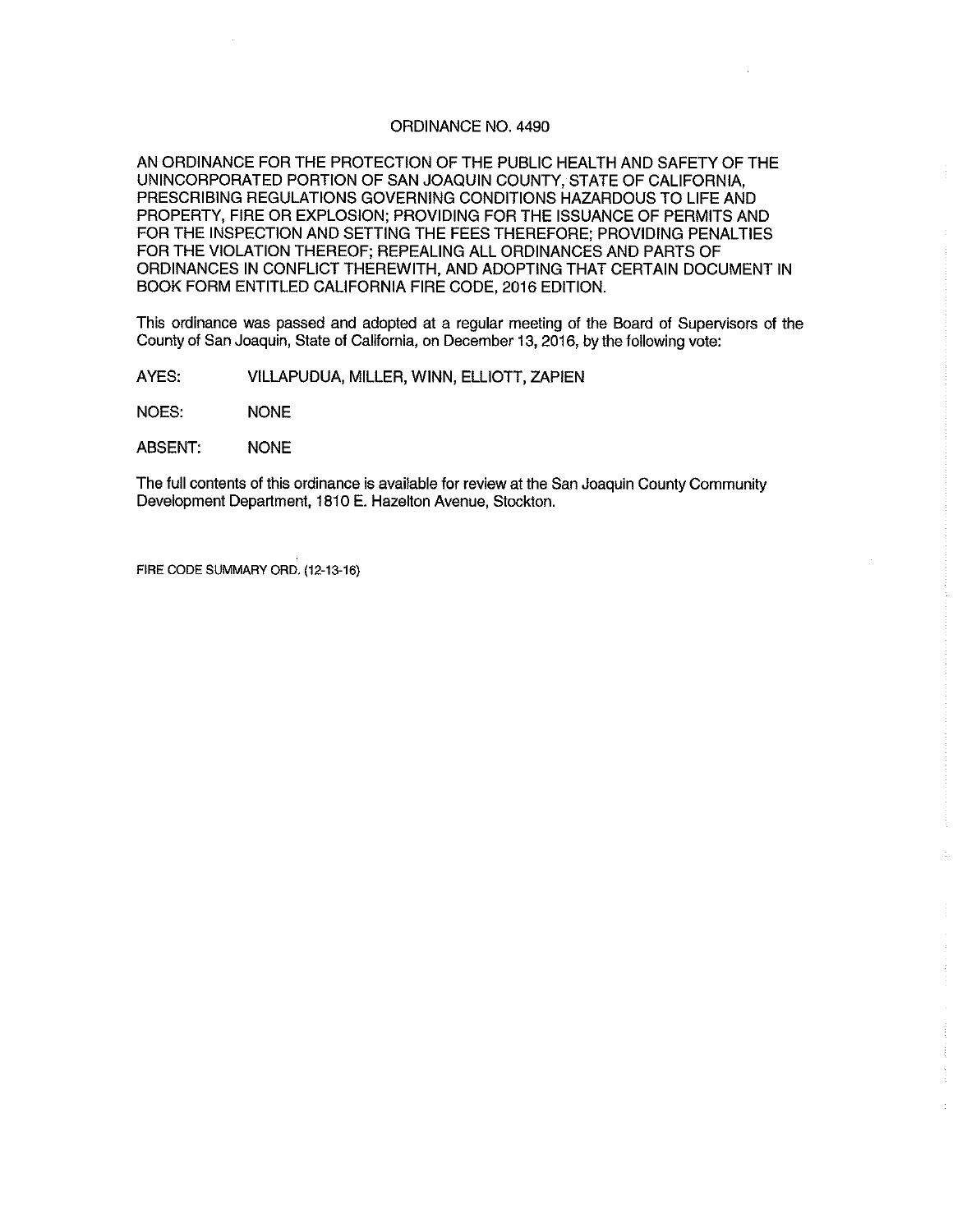#### ORDINANCE NO. 4490

AN ORDINANCE FOR THE PROTECTION OF THE PUBLIC HEALTH AND SAFETY OF THE UNINCORPORATED PORTION OF SAN JOAQUIN COUNTY, STATE OF CALIFORNIA, PRESCRIBING REGULATIONS GOVERNING CONDITIONS HAZARDOUS TO LIFE AND PROPERTY, FIRE OR EXPLOSION; PROVIDING FOR THE ISSUANCE OF PERMITS AND FOR THE INSPECTION AND SETTING THE FEES THEREFORE; PROVIDING PENALTIES FOR THE VIOLATION THEREOF; REPEALING ALL ORDINANCES AND PARTS OF ORDINANCES IN CONFLICT THEREWITH, AND ADOPTING THAT CERTAIN DOCUMENT IN BOOK FORM ENTITLED CALIFORNIA FIRE CODE, 2016 EDITION.

This ordinance was passed and adopted at a regular meeting of the Board of Supervisors of the County of San Joaquin, State of California, on December 13, 2016, by the following vote:

AYES: VILLAPUDUA, MILLER, WINN, ELLIOTT, ZAPIEN

NOES: NONE

ABSENT: NONE

The full contents of this ordinance is available for review at the San Joaquin County Community Development Department, 1810 E. Hazelton Avenue, Stockton.

FIRE CODE SUMMARY ORD. (12-13-16)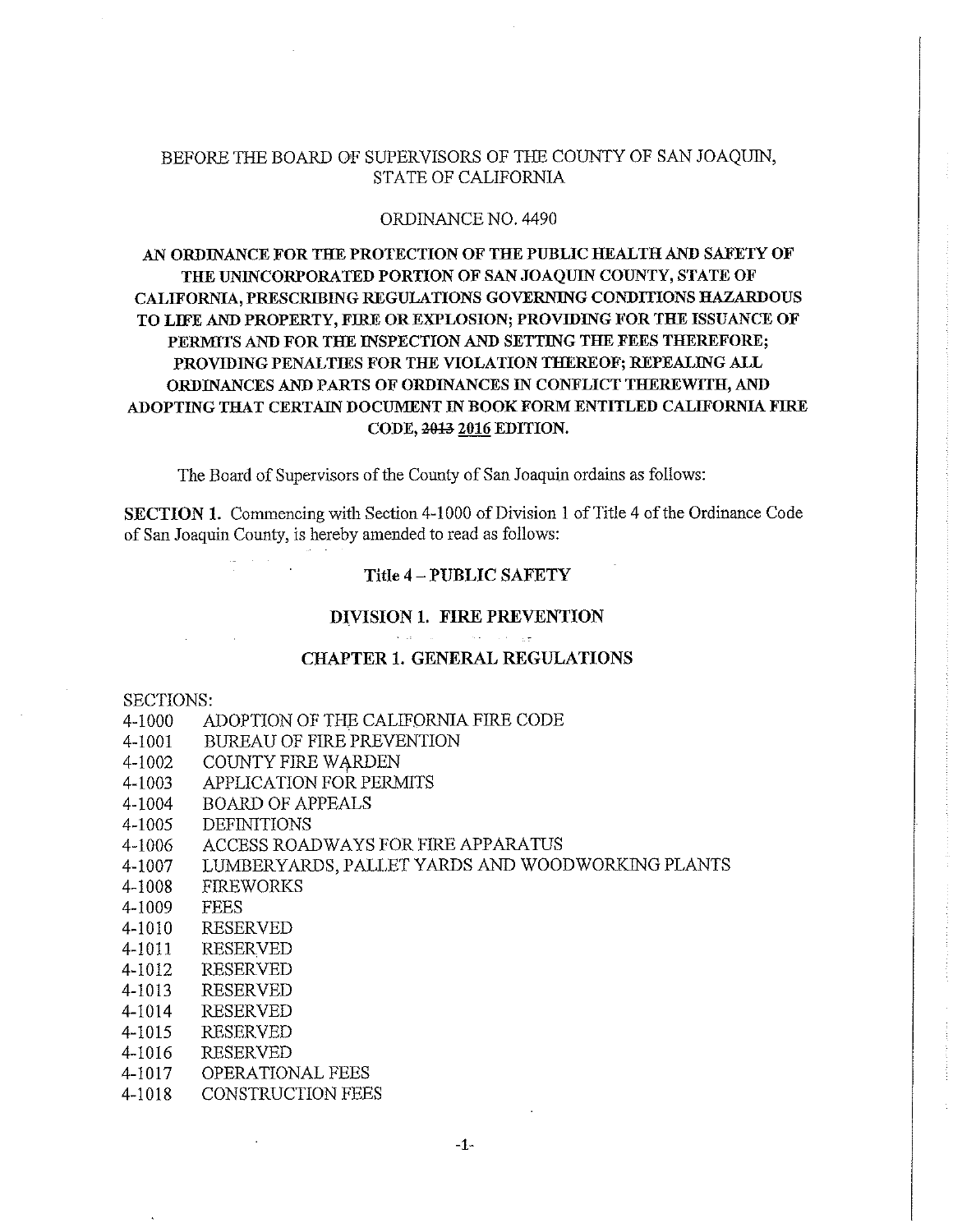## BEFORE THE BOARD OF SUPERVISORS OF THE COUNTY OF SAN JOAQUIN, STATE OF CALIFORNIA

#### ORDINANCE NO. 4490

# AN ORDINANCE FOR THE PROTECTION OF THE PUBLIC HEALTH AND SAFETY OF THE UNINCORPORATED PORTION OF SAN JOAQUIN COUNTY, STATE OF CALIFORNIA, PRESCRIBING REGULATIONS GOVERNING CONDITIONS HAZARDOUS TO LIFE AND PROPERTY, FIRE OR EXPLOSION; PROVIDING FOR THE ISSUANCE OF PERMITS AND FOR THE INSPECTION AND SETTING THE FEES THEREFORE; PROVIDING PENALTIES FOR THE VIOLATION THEREOF; REPEALING ALL ORDINANCES AND PARTS OF ORDINANCES IN CONFLICT THEREWITH, AND ADOPTING THAT CERTAIN DOCUMENT IN BOOK FORM ENTITLED CALIFORNIA FIRE CODE, 2013 2016 EDITION.

The Board of Supervisors of the County of San Joaquin ordains as follows:

SECTION 1. Commencing with Section 4-1000 of Division 1 of Title 4 of the Ordinance Code of San Joaquin County, is hereby amended to read as follows:

## Title 4 - PUBLIC SAFETY

### DIVISION 1. FIRE PREVENTION

سيار وياري ويواز

## CHAPTER 1. GENERAL REGULATIONS

#### SECTIONS:

- 4-1000 ADOPTION OF THE CALIFORNIA FIRE CODE
- 4-1001 BUREAU OF FIRE PREVENTION
- 4-1002 COUNTY FIRE WARDEN
- 4-1003 APPLICATION FOR PERMITS
- 4-1004 BOARD OF APPEALS
- 4-1005 DEFINITIONS
- 4-1006 ACCESS ROADWAYS FOR FIRE APPARATUS
- 4-1007 LUMBERYARDS, PALLET YARDS AND WOODWORKING PLANTS
- 4-1008 FIREWORKS
- 4-1009 FEES
- 4-1010 RESERVED
- 4-1011 RESERVED
- 4-1012 RESERVED
- 4-1013 RESERVED
- 4-1014 RESERVED
- 4-1015 RESERVED
- 4-1016 RESERVED
- 4-1017 OPERATIONAL FEES
- 4-1018 CONSTRUCTION FEES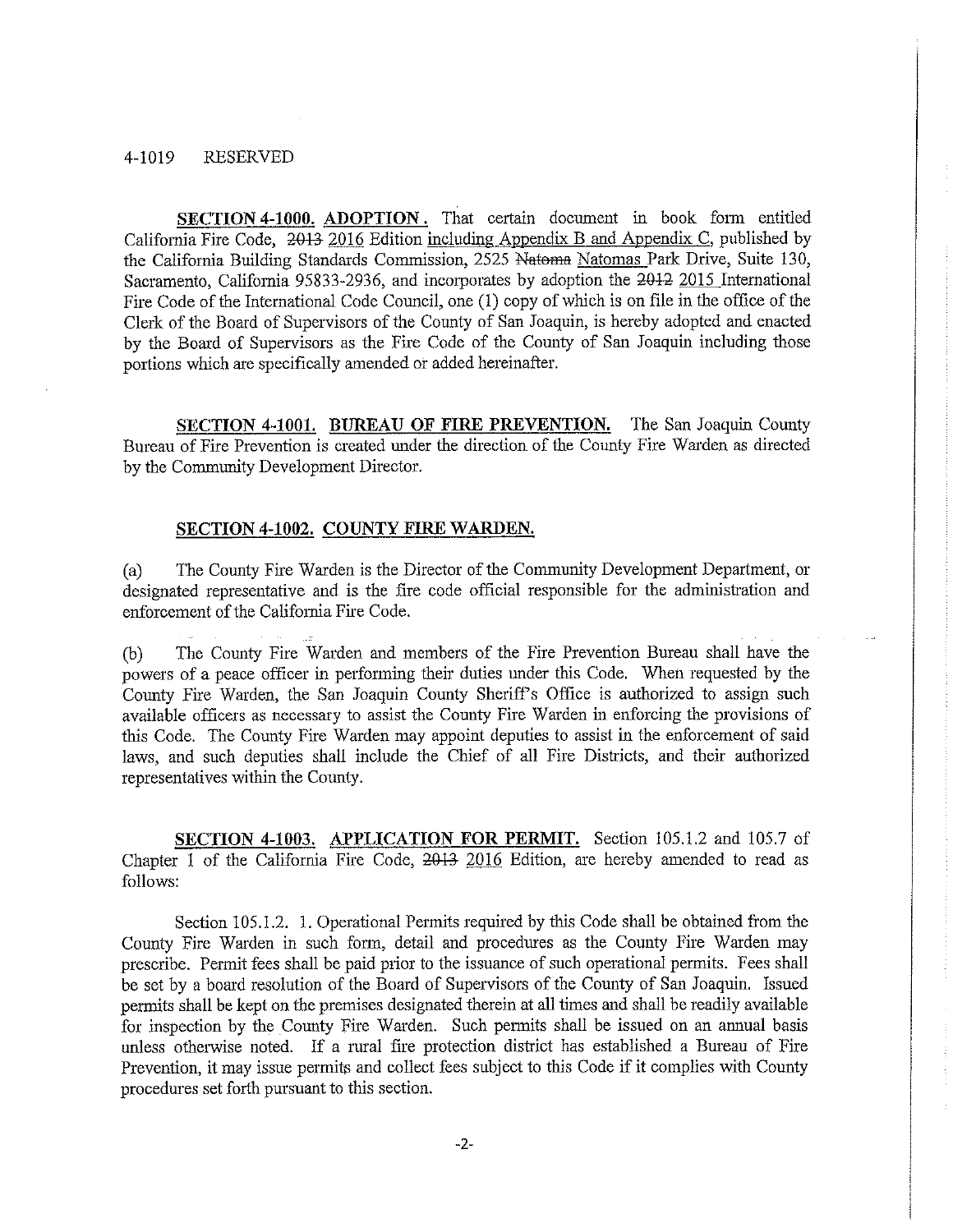#### 4-1019 RESERVED

**SECTION 4-1000. ADOPTION.** That certain document in book form entitled California Fire Code, 2013 2016 Edition including Appendix B and Appendix C, published by the California Building Standards Commission, 2525 Natoma Natomas Park Drive, Suite 130, Sacramento, California 95833-2936, and incorporates by adoption the 2012 2015 International Fire Code of the International Code Council, one (1) copy of which is on file in the office of the Clerk of the Board of Supervisors of the County of San Joaquin, is hereby adopted and enacted by the Board of Supervisors as the Fire Code of the County of San Joaquin including those portions which are specifically amended or added hereinafter.

**SECTION 4-1001. BUREAU OF FIRE PREVENTION.** The San Joaquin County Bureau of Fire Prevention is created under the direction of the County Fire Warden as directed by the Connnunity Development Director.

#### **SECTION 4-1002. COUNTY FIRE WARDEN.**

(a) The County Fire Warden is the Director of the Connnunity Development Department, or designated representative and is the fire code official responsible for the administration and enforcement of the California Fire Code.

(b) The County Fire Warden and members of the Fire Prevention Bureau shall have the powers of a peace officer in performing their duties under this Code. When requested by the County Fire Warden, the San Joaquin County Sheriff's Office is authorized to assign such available officers as necessary to assist the County Fire Warden in enforcing the provisions of this Code. The County Fire Warden may appoint deputies to assist in the enforcement of said laws, and such deputies shall include the Chief of all Fire Districts, and their authorized representatives within the County.

**SECTION 4-1003. APPLICATION FOR PERMIT.** Section 105.1.2 and 105.7 of Chapter 1 of the California Fire Code, 2013 2016 Edition, are hereby amended to read as follows:

Section 105.1.2. 1. Operational Permits required by this Code shall be obtained from the County Fire Warden in such form, detail and procedures as the County Fire Warden may prescribe. Permit fees shall be paid prior to the issuance of such operational permits. Fees shall be set by a board resolution of the Board of Supervisors of the County of San Joaquin. Issued permits shall be kept on the premises designated therein at all times and shall be readily available for inspection by the County Fire Warden. Such pennits shall be issued on an annual basis unless otherwise noted. If a rural fire protection district has established a Bureau of Fire Prevention, it may issue permits and collect fees subject to this Code if it complies with County procedures set forth pursuant to this section.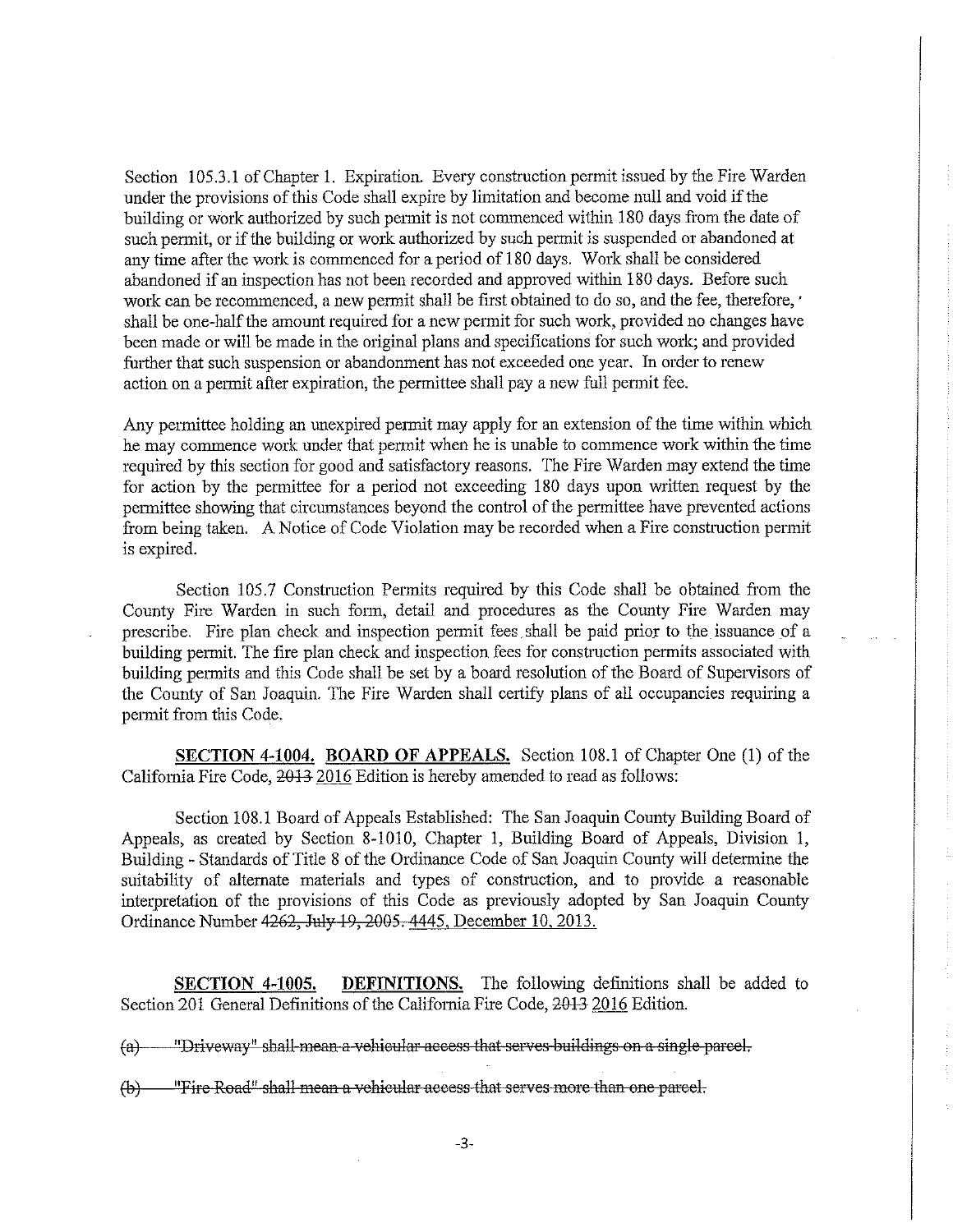Section 105.3.1 of Chapter 1. Expiration. Every construction permit issued by the Fire Warden under the provisions of this Code shall expire by limitation and become null and void if the building or work authorized by such pennit is not commenced within 180 days from the date of such permit, or if the building or work authorized by such permit is suspended or abandoned at any time after the work is commenced for a period of 180 days. Work shall be considered abandoned if an inspection has not been recorded and approved within 180 days. Before such work can be recommenced, a new permit shall be first obtained to do so, and the fee, therefore, ' shall be one-half the amount required for a new permit for such work, provided no changes have been made or will be made in the original plans and specifications for such work; and provided further that such suspension or abandonment has not exceeded one year. In order to renew action on a permit after expiration, the permittee shall pay a new full permit fee.

Any permittee holding an unexpired permit may apply for an extension of the time within which he may commence work under that permit when he is unable to commence work within the time required by this section for good and satisfactory reasons. The Fire Warden may extend the time for action by the permittee for a period not exceeding 180 days upon written request by the permittee showing that circumstances beyond the control of the permittee have prevented actions from being taken. A Notice of Code Violation may be recorded when a Fire construction permit is expired.

Section 105.7 Construction Permits required by this Code shall be obtained from the County Fire Warden in such form, detail and procedures as the County Fire Warden may prescribe. Fire plan check and inspection permit fees shall be paid prior to the issuance of a building permit. The fire plan check and inspection fees for constrnction permits associated with building permits and this Code shall be set by a board resolution of the Board of Supervisors of the County of San Joaquin. The Fire Warden shall certify plans of all occupancies requiring a permit from this Code.

**SECTION 4-1004, BOARD OF APPEALS.** Section 108.1 of Chapter One (1) of the California Fire Code,  $2013$  2016 Edition is hereby amended to read as follows:

Section 108.1 Board of Appeals Established: The San Joaquin County Building Board of Appeals, as created by Section 8-1010, Chapter 1, Building Board of Appeals, Division 1, Building - Standards of Title 8 of the Ordinance Code of San Joaquin County will determine the suitability of alternate materials and types of construction, and to provide a reasonable interpretation of the provisions of this Code as previously adopted by San Joaquin County Ordinance Number 4262, July 19, 2005. 4445, December 10, 2013.

**SECTION 4-1005.** DEFINITIONS. The following definitions shall be added to Section 201 General Definitions of the California Fire Code, 2013 2016 Edition.

(a) "Driveway" shall mean a vehicular access that serves buildings on a single parcel.

(b) "Fire Road" shall meaa a vehieular aeeess that serves more than one pareel.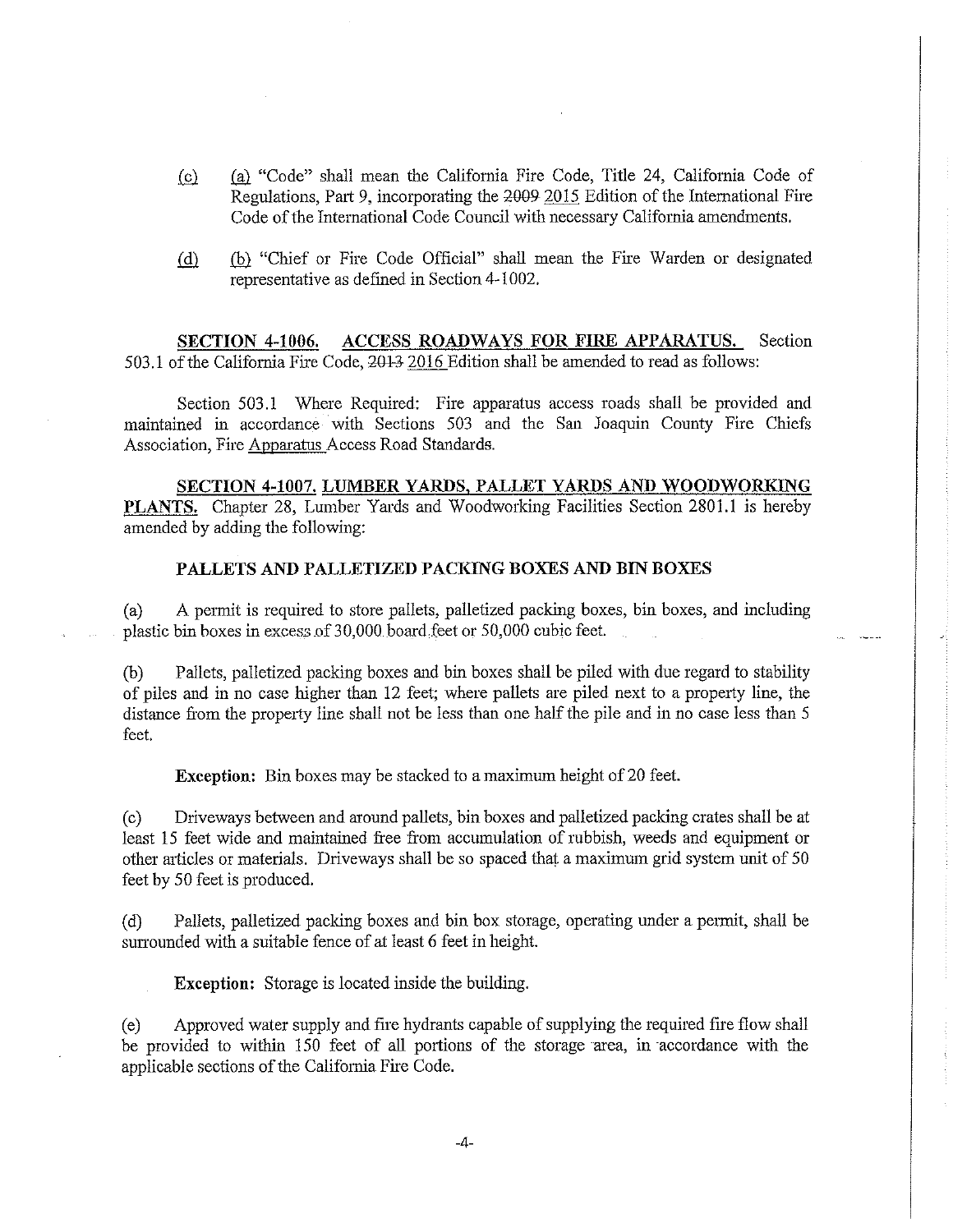- (Q)\_ .(fil "Code" shall mean the California Fire Code, Title 24, California Code of Regulations, Part 9, incorporating the 2009-2015 Edition of the International Fire Code of the International Code Council with necessary California amendments.
- (d) (b) "Chief or Fire Code Official" shall mean the Fire Warden or designated representative as defmed in Section 4-1002.

**SECTION 4-1006. ACCESS ROADWAYS FOR FIRE APPARATUS.** Section  $503.1$  of the California Fire Code,  $2013$  2016 Edition shall be amended to read as follows:

Section 503.1 Where Required: Fire apparatus access roads shall be provided and maintained in accordance with Sections 503 and the San Joaquin County Fire Chiefs Association, Fire Apparatus Access Road Standards.

**SECTION 4-1007. LUMBER YARDS, PALLET YARDS AND WOODWORKING PLANTS.** Chapter 28, Lumber Yards and Woodworking Facilities Section 2801.1 is hereby amended by adding the following:

### **PALLETS AND PALLETIZED PACKING BOXES AND BIN BOXES**

( a) A permit is required to store pallets, palletized packing boxes, bin boxes, and including plastic bin boxes in excess of 30,000 board feet or 50,000 cubic feet.

(b) Pallets, palletized packing boxes and bin boxes shall be piled with due regard to stability of piles and in no case higher than 12 feet; where pallets are piled next to a property line, the distance from the property line shall not be less than one half the pile and in no case less than 5 feet.

**Exception:** Bin boxes may be stacked to a maximum height of 20 feet.

( c) Driveways between and around pallets, bin boxes and palletized packing crates shall be at least 15 feet wide and maintained free from accumulation of rubbish, weeds and equipment or other articles or materials. Driveways shall be so spaced that a maximum grid system unit of 50 feet by 50 feet is produced.

( d) Pallets, palletized packing boxes and bin box storage, operating under a permit, shall be surrounded with a suitable fence of at least 6 feet in height.

**Exception:** Storage is located inside the building.

( e) Approved water supply and fire hydrants capable of supplying the required fire flow shall be provided to within 150 feet of all portions of the storage area, in accordance with the applicable sections of the California Fire Code.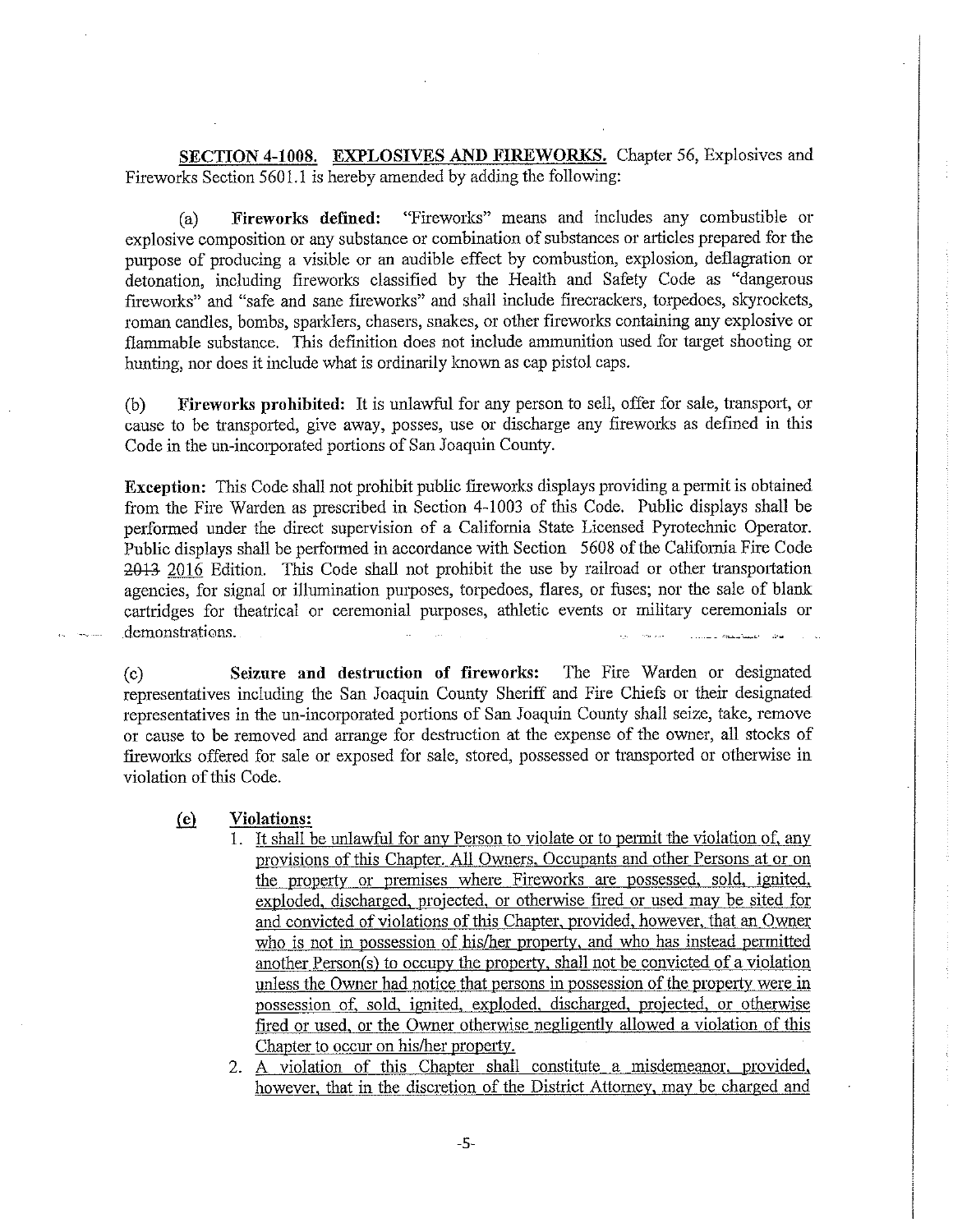**SECTION 4-1008. EXPLOSIVES AND FIREWORKS.** Chapter 56, Explosives and Fireworks Section 5601.1 is hereby amended by adding the following:

( a) **Fireworks defined:** "Fireworks" means and includes any combustible or explosive composition or any substance or combination of substances or articles prepared for the purpose of producing a visible or an audible effect by combustion, explosion, deflagration or detonation, including fireworks classified by the Health and Safety Code as "dangerous fireworks" and "safe and sane fireworks" and shall include firecrackers, torpedoes, skyrockets, roman candles, bombs, sparklers, chasers, snakes, or other fireworks containing any explosive or flammable substance. This definition does not include ammunition used for target shooting or hunting, nor does it include what is ordinarily known as cap pistol caps.

(b) **Fireworks prohibited:** It is unlawful for any person to sell, offer for sale, transport, or cause to be transported, give away, posses, use or discharge any fireworks as defined in this Code in the un-incorporated portions of San Joaquin County.

**Exception:** This Code shall not prohibit public fireworks displays providing a permit is obtained from the Fire Warden as prescribed in Section 4-1003 of this Code. Public displays shall be performed under the direct supervision of a California State Licensed Pyrotechnic Operator. Public displays shall be performed in accordance with Section 5608 of the California Fire Code 2013 2016 Edition. This Code shall not prohibit the use by railroad or other transportation agencies, for signal or illumination purposes, torpedoes, flares, or fuses; nor the sale of blank cartridges for theatrical or ceremonial purposes, athletic events or military ceremonials or demonstrations.

(c) **Seizure and destruction of fireworks:** The Fire Warden or designated representatives including the San Joaquin County Sheriff and Fire Chiefs or their designated representatives in the un-incorporated portions of San Joaquin County shall seize, take, remove or cause to be removed and arrange for destruction at the expense of the owner, all stocks of fireworks offered for sale or exposed for sale, stored, possessed or transported or otherwise in violation of this Code.

### **ill Violations:**

- 1. It shall be unlawful for any Person to violate or to pennit the violation of, any provisions of this Chapter. All Owners, Occupants and other Persons at or on the property or premises where Fireworks are possessed, sold, ignited, exploded, discharged, projected, or otherwise fired or used may be sited for and convicted of violations of this Chapter, provided, however, that an Owner who is not in possession of his/her property, and who has instead permitted another Person(s) to occupy the property, shall not be convicted of a violation unless the Owner had notice that persons in possession of the property were in possession of, sold, ignited, exploded, discharged, projected, or otherwise fired or used, or the Owner otherwise negligently allowed a violation of this Chapter to occur on his/her property.
- 2. A violation of this Chapter shall constitute a misdemeanor, provided, however, that in the discretion of the District Attorney, may be charged and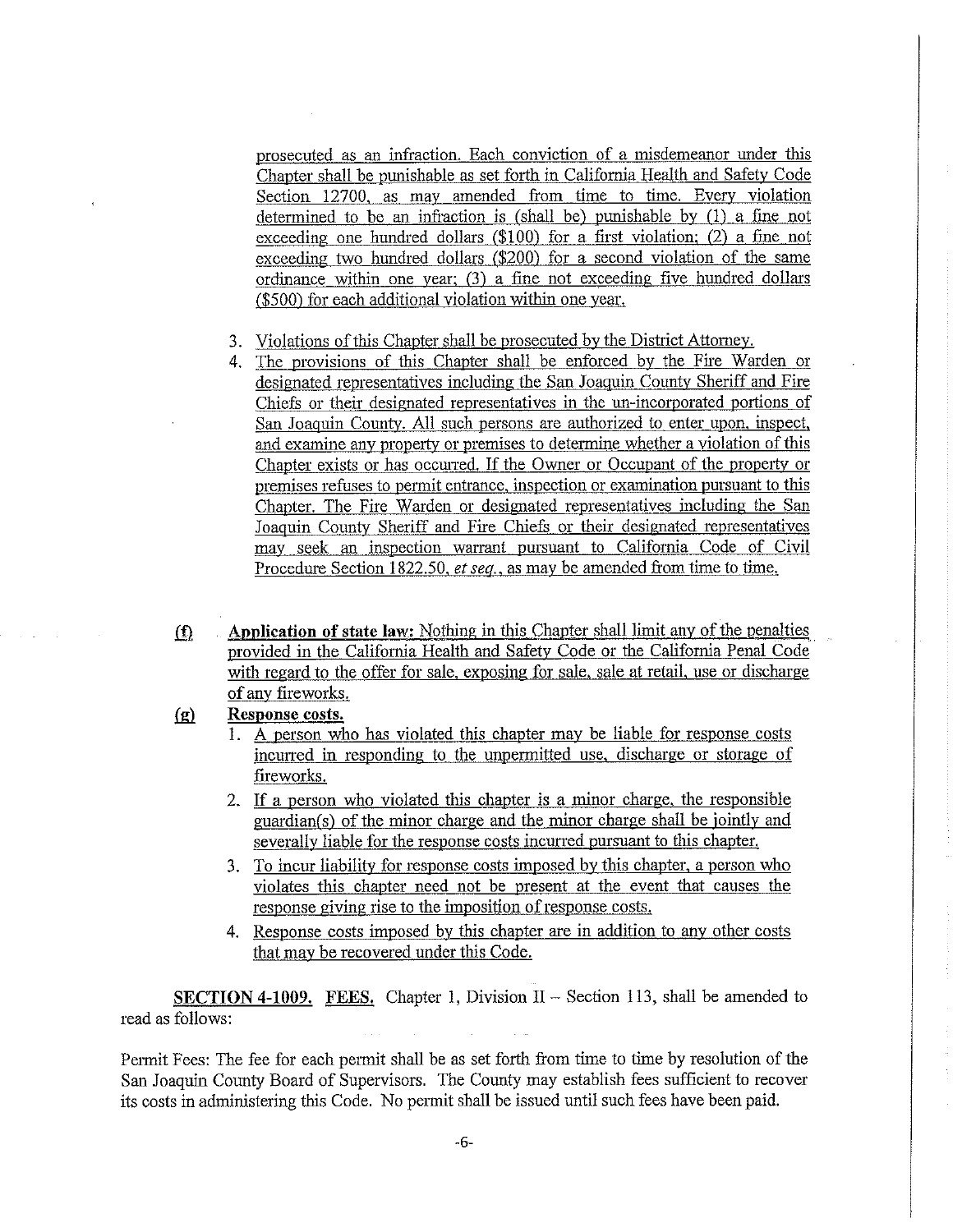prosecuted as an infraction. Each conviction of a misdemeanor under this Chapter shall be punishable as set forth in California Health and Safety Code Section 12700, as may amended from time to time. Every violation determined to be an infraction is (shall be) punishable by (1) a fine not exceeding one hundred dollars (\$100) for a first violation; (2) a fine not exceeding two hundred dollars (\$200) for a second violation of the same ordinance within one year; *(3)* a fine not exceeding five hundred dollars (\$500) for each additional violation within one year.

- 3. Violations of this Chapter shall be prosecuted by the District Attorney.
- 4. The provisions of this Chapter shall be enforced by the Fire Warden or designated representatives including the San Joaquin County Sheriff and Fire Chiefs or their designated representatives in the un-incorporated portions of San Joaquin County. All such persons are authorized to enter upon, inspect, and examine any property or premises to determine whether a violation of this Chapter exists or has occurred. If the Owner or Occupant of the property or premises refuses to permit entrance, inspection or examination pursuant to this Chapter. The Fire Warden or designated representatives including the San Joaquin County Sheriff and Fire Chiefs or their designated representatives may seek an inspection warrant pursuant to California Code of Civil Procedure Section 1822.50, *et seq.,* as may be amended from time to time.
- **(f)** Application of state law: Nothing in this Chapter shall limit any of the penalties provided in the California Health and Safety Code or the California Penal Code with regard to the offer for sale, exposing for sale, sale at retail, use or discharge of any fireworks.

## **fg)\_ Response costs.**

- 1. A person who has violated this chapter may be liable for response costs incuned in responding to the unpermitted use, discharge or storage of fireworks.
- 2. If a person who violated this chapter is a minor charge, the responsible guardian(s) of the minor charge and the minor charge shall be jointly and severally liable for the response costs incurred pursuant to this chapter.
- 3. To incur liability for response costs imposed by this chapter, a person who violates this chapter need not be present at the event that causes the response giving rise to the imposition of response costs.
- 4. Response costs imposed by this chapter are in addition to any other costs that may be recovered under this Code.

**SECTION 4-1009.** FEES. Chapter 1, Division II – Section 113, shall be amended to read as follows:

Permit Fees: The fee for each permit shall be as set forth from time to time by resolution of the San Joaquin County Board of Supervisors. The County may establish fees sufficient to recover its costs in administering this Code. No permit shall be issued until such fees have been paid.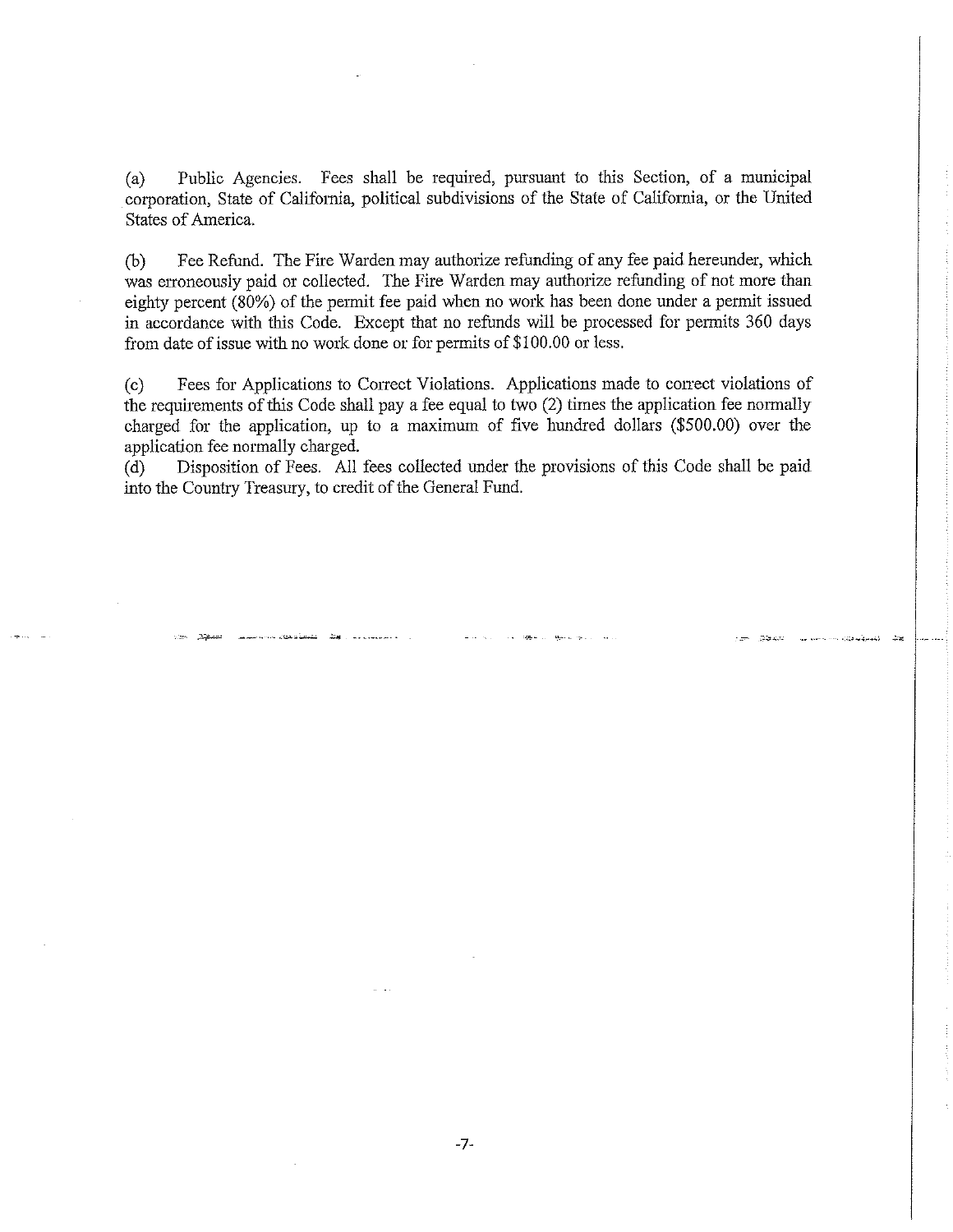(a) Public Agencies. Fees shall be required, pursuant to this Section, of a municipal corporation, State of California, political subdivisions of the State of California, or the United States of America.

(b) Fee Refund. The Fire Warden may authorize refunding of any fee paid hereunder, which was erroneously paid or collected. The Fire Warden may authorize refunding of not more than eighty percent (80%) of the pennit fee paid when no work has been done under a permit issued in accordance with this Code. Except that no refunds will be processed for permits 360 days from date of issue with no work done or for permits of \$100.00 or less.

(c) Fees for Applications to Correct Violations. Applications made to correct violations of the requirements of this Code shall pay a fee equal to two (2) times the application fee normally charged for the application, up to a maximum of five hundred dollars (\$500.00) over the application fee normally charged.

(d) Disposition of Fees. All fees collected under the provisions of this Code shall be paid into the Country Treasury, to credit of the General Fund.

.<br>المسروف مورد ........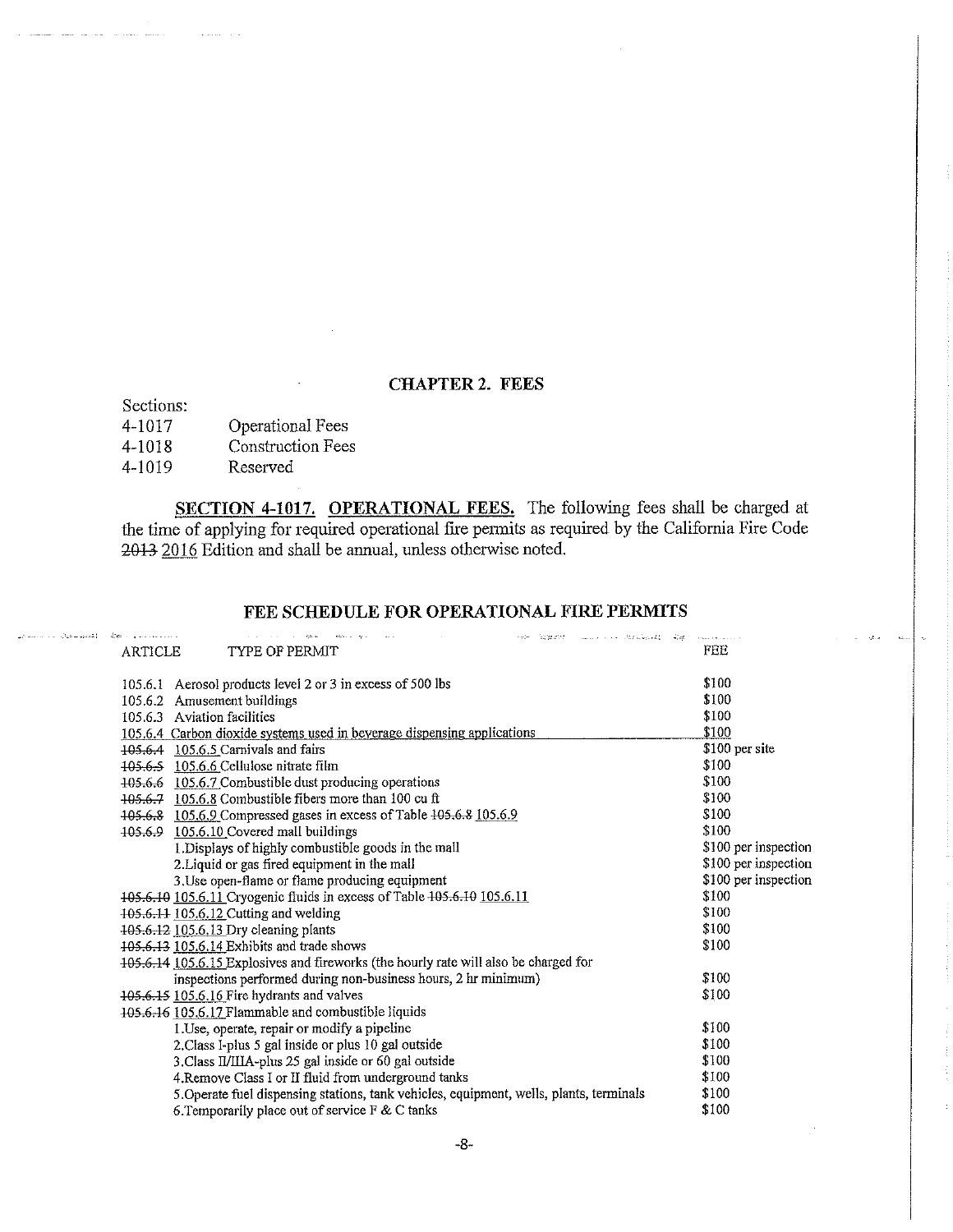### CHAPTER 2. FEES

Sections:

المعود ساعوى الدارات الدائنية العر

| .      |                          |
|--------|--------------------------|
| 4-1017 | Operational Fees         |
| 4-1018 | <b>Construction Fees</b> |
| 4-1019 | Reserved                 |

SECTION 4-1017. OPERATIONAL FEES. The following fees shall be charged at the time of applying for required operational fire permits as required by the California Fire Code 2013 2016 Edition and shall be annual, unless otherwise noted.

## FEE SCHEDULE FOR OPERATIONAL FIRE PERMITS

| 400 and successfully a<br>المواضع والمتقولات المتقول المنادي والمتناوب والمتناوب والمناوب<br>Het 오늘 2014 - Andreas Maria Andre Catalonica Andre<br>ARTICLE<br>TYPE OF PERMIT | FEE                  |
|------------------------------------------------------------------------------------------------------------------------------------------------------------------------------|----------------------|
| 105.6.1 Aerosol products level 2 or 3 in excess of 500 lbs                                                                                                                   | \$100                |
| 105.6.2 Amusement buildings                                                                                                                                                  | \$100                |
| 105.6.3 Aviation facilities                                                                                                                                                  | \$100                |
| 105.6.4 Carbon dioxide systems used in beverage dispensing applications                                                                                                      | \$100                |
| 105.6.4 105.6.5 Carnivals and fairs                                                                                                                                          | \$100 per site       |
| 105.6.5 105.6.6 Cellulose nitrate film                                                                                                                                       | \$100                |
| 405.6.6 105.6.7 Combustible dust producing operations                                                                                                                        | \$100                |
| 105.6.7 105.6.8 Combustible fibers more than 100 cu ft                                                                                                                       | \$100                |
| 105.6.8 105.6.9 Compressed gases in excess of Table 105.6.8 105.6.9                                                                                                          | \$100                |
| 105.6.9 105.6.10 Covered mall buildings                                                                                                                                      | \$100                |
| 1. Displays of highly combustible goods in the mall                                                                                                                          | \$100 per inspection |
| 2. Liquid or gas fired equipment in the mall                                                                                                                                 | \$100 per inspection |
| 3. Use open-flame or flame producing equipment                                                                                                                               | \$100 per inspection |
| 105.6.10 105.6.11 Cryogenic fluids in excess of Table 105.6.10 105.6.11                                                                                                      | \$100                |
| 105.6.11 105.6.12 Cutting and welding                                                                                                                                        | \$100                |
| 405.6.12 105.6.13 Dry cleaning plants                                                                                                                                        | \$100                |
| 405.6.13 105.6.14 Exhibits and trade shows                                                                                                                                   | \$100                |
| 105.6.14 105.6.15 Explosives and fireworks (the hourly rate will also be charged for                                                                                         |                      |
| inspections performed during non-business hours, 2 hr minimum)                                                                                                               | \$100                |
| 405.6.15 105.6.16 Fire hydrants and valves                                                                                                                                   | \$100                |
| 105.6.16 105.6.17 Flammable and combustible liquids                                                                                                                          |                      |
| 1 Use, operate, repair or modify a pipeline                                                                                                                                  | \$100                |
| 2. Class I-plus 5 gal inside or plus 10 gal outside                                                                                                                          | \$100                |
| 3. Class II/IIIA-plus 25 gal inside or 60 gal outside                                                                                                                        | \$100                |
| 4. Remove Class I or II fluid from underground tanks                                                                                                                         | \$100                |
| 5. Operate fuel dispensing stations, tank vehicles, equipment, wells, plants, terminals                                                                                      | \$100                |
| 6. Temporarily place out of service F & C tanks                                                                                                                              | \$100                |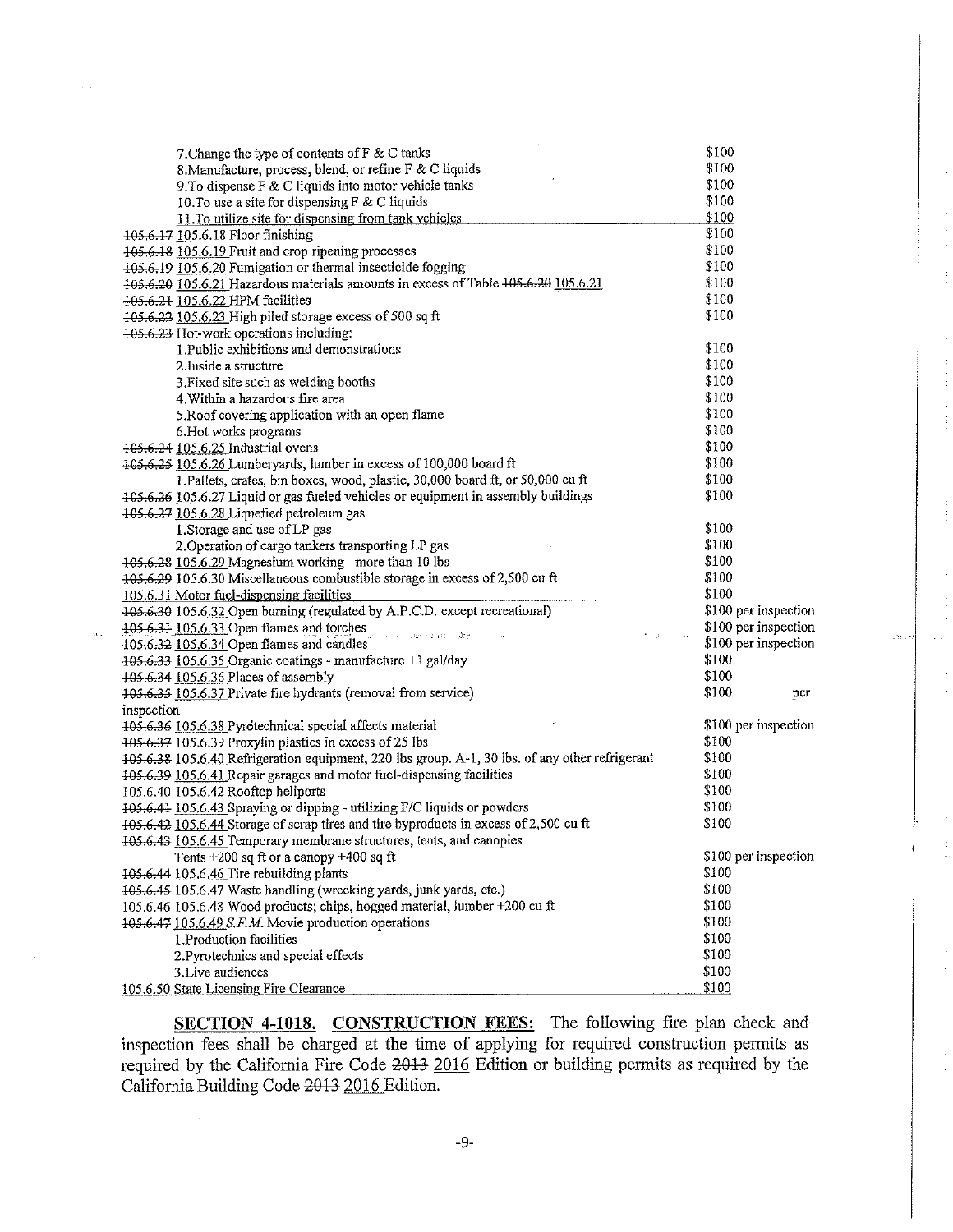| 7. Change the type of contents of F & C tanks                                                                                                               | \$100                         |
|-------------------------------------------------------------------------------------------------------------------------------------------------------------|-------------------------------|
| 8. Manufacture, process, blend, or refine F & C liquids                                                                                                     | \$100                         |
| 9. To dispense F & C liquids into motor vehicle tanks                                                                                                       | \$100                         |
| 10. To use a site for dispensing F & C liquids                                                                                                              | \$100                         |
| 11. To utilize site for dispensing from tank vehicles                                                                                                       | \$100                         |
| 105.6.17 105.6.18 Floor finishing                                                                                                                           | \$100                         |
| 105.6.18 105.6.19 Fruit and crop ripening processes                                                                                                         | \$100                         |
| 105.6.19 105.6.20 Fumigation or thermal insecticide fogging                                                                                                 | \$100                         |
| 105.6.20 105.6.21 Hazardous materials amounts in excess of Table 105.6.20 105.6.21                                                                          | \$100                         |
| 405.6.21 105.6.22 HPM facilities                                                                                                                            | \$100                         |
| 105.6.22 105.6.23 High piled storage excess of 500 sq ft                                                                                                    | \$100                         |
| 105.6.23 Hot-work operations including:                                                                                                                     |                               |
| 1. Public exhibitions and demonstrations                                                                                                                    | \$100                         |
| 2. Inside a structure                                                                                                                                       | \$100                         |
| 3. Fixed site such as welding booths                                                                                                                        | \$100                         |
| 4. Within a hazardous fire area                                                                                                                             | \$100                         |
| 5. Roof covering application with an open flame                                                                                                             | \$100                         |
| 6. Hot works programs                                                                                                                                       | \$100                         |
| 105.6.24 105.6.25 Industrial ovens                                                                                                                          | \$100                         |
| 105,6,25 105.6.26 Lumberyards, lumber in excess of 100,000 board ft                                                                                         | \$100                         |
| 1. Pallets, crates, bin boxes, wood, plastic, 30,000 board ft, or 50,000 cu ft                                                                              | \$100                         |
| 405.6.26 105.6.27 Liquid or gas fueled vehicles or equipment in assembly buildings                                                                          | \$100                         |
| 105.6.27 105.6.28 Liquefied petroleum gas                                                                                                                   |                               |
| 1. Storage and use of LP gas                                                                                                                                | \$100                         |
| 2. Operation of cargo tankers transporting LP gas                                                                                                           | \$100                         |
| 105.6.28 105.6.29 Magnesium working - more than 10 lbs                                                                                                      | \$100                         |
| 105.6.29 105.6.30 Miscellaneous combustible storage in excess of 2,500 cu ft                                                                                | \$100                         |
| 105.6.31 Motor fuel-dispensing facilities                                                                                                                   | \$100                         |
| 105.6.30 105.6.32 Open burning (regulated by A.P.C.D. except recreational)                                                                                  | \$100 per inspection          |
| 105.6.31 105.6.33 Open flames and torches                                                                                                                   | \$100 per inspection          |
| $\beta_{\rm eff}$ , are in $\Omega_{\rm eff}$ as $\beta_{\rm eff}$ . The $\beta_{\rm eff}$ is a consequence of<br>405.6.32 105.6.34 Open flames and candles | $$100$ per inspection         |
|                                                                                                                                                             | \$100                         |
| 105.6.33 105.6.35 Organic coatings - manufacture +1 gal/day                                                                                                 | \$100                         |
| 105.6.34 105.6.36 Places of assembly                                                                                                                        | \$100                         |
| 105.6.35 105.6.37 Private fire hydrants (removal from service)                                                                                              | per                           |
| inspection                                                                                                                                                  |                               |
| 105.6.36 105.6.38 Pyrotechnical special affects material                                                                                                    | \$100 per inspection<br>\$100 |
| 405.6.37 105.6.39 Proxylin plastics in excess of 25 lbs                                                                                                     | \$100                         |
| 105.6.38 105.6.40 Refrigeration equipment, 220 lbs group. A-1, 30 lbs. of any other refrigerant                                                             |                               |
| 105.6.39 105.6.41 Repair garages and motor fuel-dispensing facilities                                                                                       | \$100                         |
| 105.6.40 105.6.42 Rooftop heliports                                                                                                                         | \$100                         |
| 105.6.41 105.6.43 Spraying or dipping - utilizing F/C liquids or powders                                                                                    | \$100                         |
| 105.6.42 105.6.44 Storage of scrap tires and tire byproducts in excess of 2,500 cu ft                                                                       | \$100                         |
| 105.6.43 105.6.45 Temporary membrane structures, tents, and canopies                                                                                        |                               |
| Tents $+200$ sq ft or a canopy $+400$ sq ft                                                                                                                 | \$100 per inspection          |
| 105.6.44 105.6.46 Tire rebuilding plants                                                                                                                    | \$100                         |
| 105.6.45 105.6.47 Waste handling (wrecking yards, junk yards, etc.)                                                                                         | \$100                         |
| 105.6.46 105.6.48 Wood products; chips, hogged material, lumber +200 cu ft                                                                                  | \$100                         |
| 105.6.47 105.6.49 S.F.M. Movie production operations                                                                                                        | \$100                         |
| 1. Production facilities                                                                                                                                    | \$100                         |
| 2. Pyrotechnics and special effects                                                                                                                         | \$100                         |
| 3. Live audiences                                                                                                                                           | \$100                         |
| 105.6.50 State Licensing Fire Clearance                                                                                                                     | \$100                         |

 $\alpha$  .

SECTION 4-1018. CONSTRUCTION FEES: The following fire plan check and inspection fees shall be charged at the time of applying for required construction permits as required by the California Fire Code 2013 2016 Edition or building permits as required by the California Building Code~ 2016 Edition.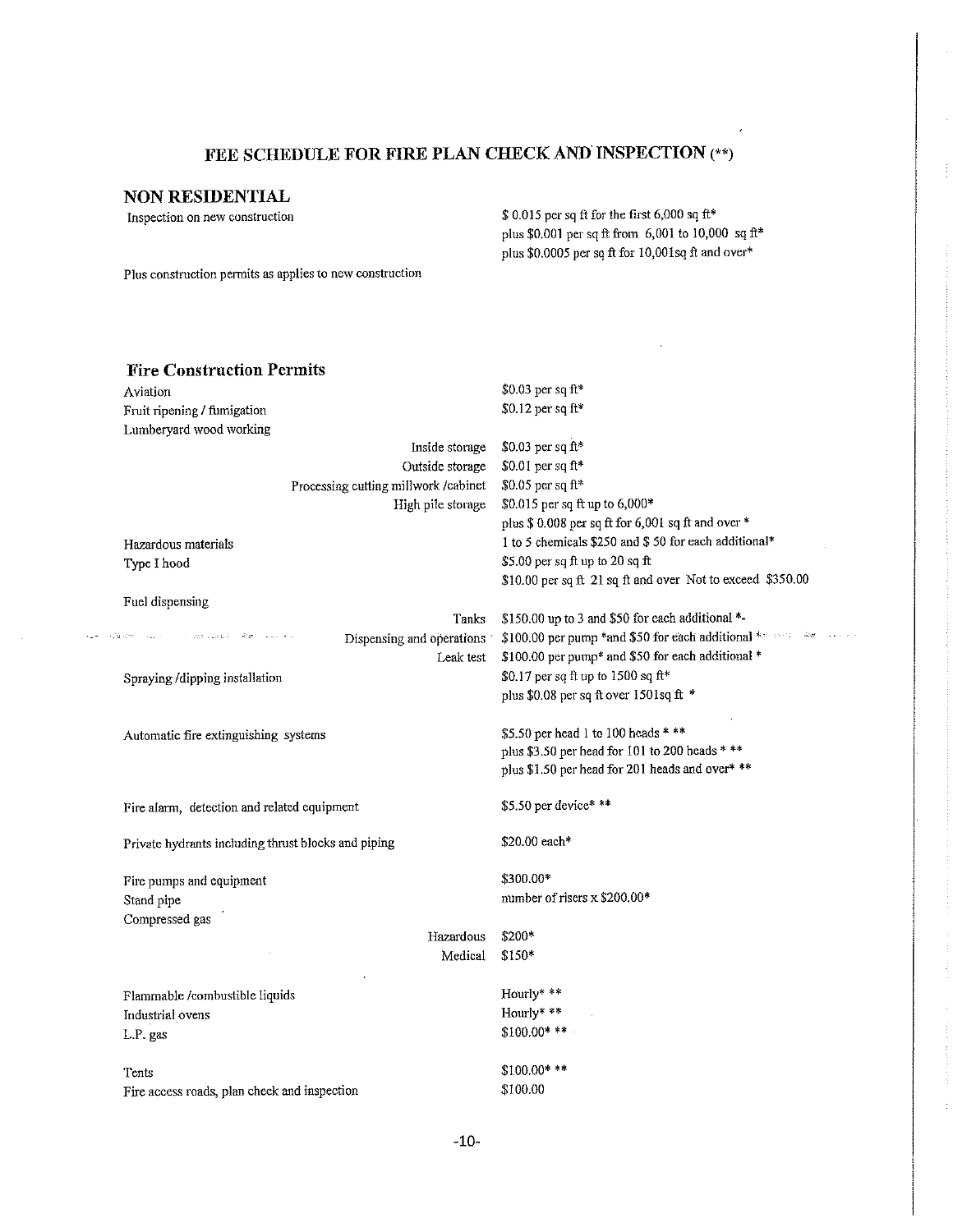# FEE SCHEDULE FOR FIRE PLAN CHECK AND INSPECTION (\*\*)

## NON RESIDENTIAL

Inspection on new construction

 $\epsilon_{\rm{m}}$  .

\$ O.Ql5 per sq ft for the first 6,000 sq ft\* plus \$0.001 per sq ft from 6,001 to 10,000 sq ft\* plus \$0.0005 per sq ft for 10,00lsq ft and over\*

Plus construction pennits as applies to new construction

| <b>Fire Construction Permits</b>                                           |                                                                                                   |
|----------------------------------------------------------------------------|---------------------------------------------------------------------------------------------------|
| Aviation                                                                   | \$0.03 per sq ft*                                                                                 |
| Fruit ripening / fumigation                                                | \$0.12 per sq ft*                                                                                 |
| Lumberyard wood working                                                    |                                                                                                   |
| Inside storage                                                             | \$0.03 per sq ft*                                                                                 |
| Outside storage                                                            | \$0.01 per sq ft*                                                                                 |
| Processing cutting millwork /cabinet                                       | \$0.05 per sq ft*                                                                                 |
| High pile storage                                                          | \$0.015 per sq ft up to 6,000*                                                                    |
|                                                                            | plus \$ 0.008 per sq ft for 6,001 sq ft and over *                                                |
| Hazardous materials                                                        | 1 to 5 chemicals \$250 and \$ 50 for each additional*                                             |
| Type I hood                                                                | \$5.00 per sq ft up to 20 sq ft                                                                   |
|                                                                            | \$10.00 per sq ft 21 sq ft and over Not to exceed \$350.00                                        |
| Fuel dispensing                                                            |                                                                                                   |
| Tanks                                                                      | \$150.00 up to 3 and \$50 for each additional *-                                                  |
| 29 dit - Face - Fine Constant - Reno Alexandr<br>Dispensing and operations | \$100.00 per pump *and \$50 for each additional * 100.00 per pump *and \$50 for each additional * |
| Leak test                                                                  | \$100.00 per pump* and \$50 for each additional *                                                 |
| Spraying /dipping installation                                             | \$0.17 per sq ft up to 1500 sq ft*                                                                |
|                                                                            | plus \$0.08 per sq ft over $1501$ sq ft *                                                         |
| Automatic fire extinguishing systems                                       | \$5.50 per head 1 to 100 heads * **                                                               |
|                                                                            | plus \$3.50 per head for 101 to 200 heads * **                                                    |
|                                                                            | plus \$1.50 per head for 201 heads and over* **                                                   |
| Fire alarm, detection and related equipment                                | \$5.50 per device* **                                                                             |
| Private hydrants including thrust blocks and piping                        | \$20.00 each*                                                                                     |
| Fire pumps and equipment                                                   | \$300.00*                                                                                         |
| Stand pipe                                                                 | number of risers x \$200.00*                                                                      |
| Compressed gas                                                             |                                                                                                   |
| Hazardous                                                                  | \$200*                                                                                            |
| Medical                                                                    | \$150*                                                                                            |
| Flammable /combustible liquids                                             | Hourly* **                                                                                        |
| Industrial ovens                                                           | Hourly* **                                                                                        |
| L.P. gas                                                                   | $$100.00***$                                                                                      |
|                                                                            |                                                                                                   |
| Tents                                                                      | $$100.00***$                                                                                      |
| Fire access roads, plan check and inspection                               | \$100.00                                                                                          |
|                                                                            |                                                                                                   |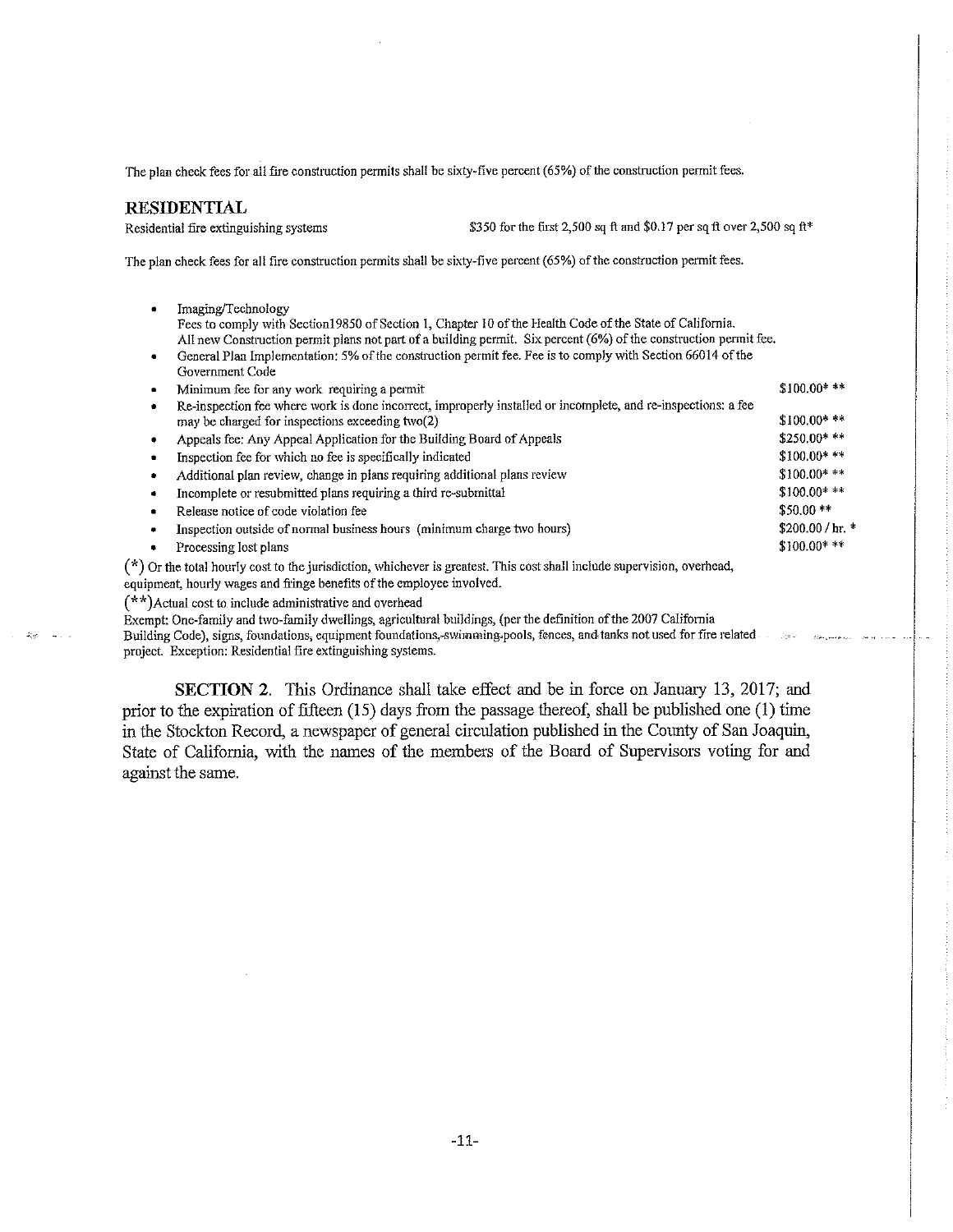The plan check fees for all fire construction permits shall be sixty-five percent (65%) of the construction permit fees.

#### RESIDENTIAL

 $47\%$ 

Residential fire extinguishing systems  $$350$  for the first 2,500 sq ft and \$0.17 per sq ft over 2,500 sq ft\*

The plan check fees for all fire construction permits shall be sixty-five percent (65%) of the construction permit fees.

• Imaging/Technology Fees to comply with Section19850 of Section 1, Chapter 10 of the Health Code of the State of California. All new Construction permit plans not part of a building permit. Six percent (6%) of the construction permit fee. General Plan Implementation: 5% of the construction permit fee. Fee is to comply with Section 66014 of the Government Code Minimum fee for any work requiring a permit \$100.00\* \*\*

|   | Re-inspection fee where work is done incorrect, improperly installed or incomplete, and re-inspections; a fee             |                   |
|---|---------------------------------------------------------------------------------------------------------------------------|-------------------|
|   | may be charged for inspections exceeding two(2)                                                                           | $$100.00***$      |
|   | Appeals fee: Any Appeal Application for the Building Board of Appeals                                                     | $$250.00***$      |
|   | Inspection fee for which no fee is specifically indicated                                                                 | $$100.00$ **      |
|   | Additional plan review, change in plans requiring additional plans review                                                 | $$100.00***$      |
| ۰ | Incomplete or resubmitted plans requiring a third re-submittal                                                            | $$100.00**$       |
| ۰ | Release notice of code violation fee                                                                                      | $$50.00**$        |
|   | Inspection outside of normal business hours (minimum charge two hours)                                                    | $$200.00 / hr.$ * |
|   | Processing lost plans                                                                                                     | $$100.00***$      |
|   | $(*)$ Or the total hourly cost to the jurisdiction, whichever is greatest. This cost shall include supervision, overhead, |                   |

equipment, hourly wages and fringe benefits of the employee involved.

(\*\*)Actual cost to include administrative and overhead

Exempt: One-family and two-family dwellings, agricultural buildings, (per the definition of the 2007 California

Building Code), signs, foundations, equipment foundations,-swimming-pools, fences, and tanks not used for fire related project. Exception: Residential fire extinguishing systems.

SECTION 2. This Ordinance shall take effect and be in force on January 13, 2017; and prior to the expiration of fifteen  $(15)$  days from the passage thereof, shall be published one  $(1)$  time in the Stockton Record, a newspaper of general circulation published in the County of San Joaquin, State of California, with the names of the members of the Board of Supervisors voting for and against the same.